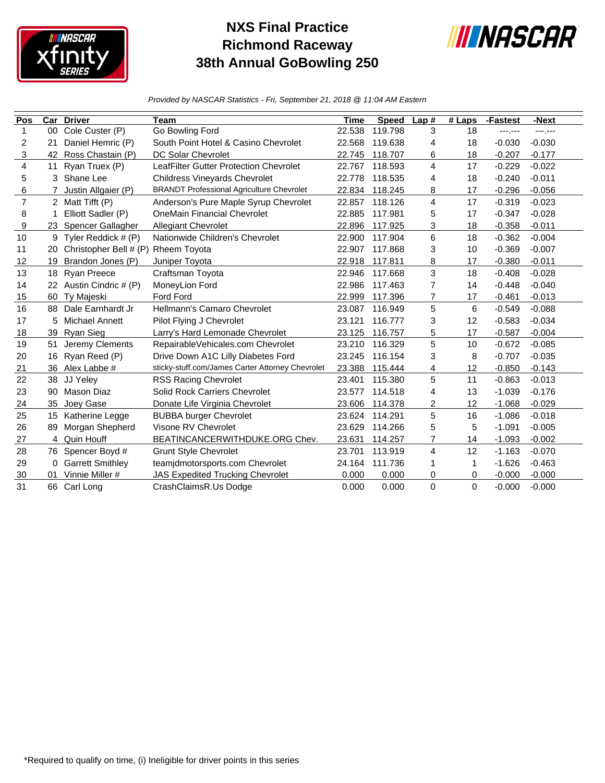

## **NXS Final Practice Richmond Raceway 38th Annual GoBowling 250**



*Provided by NASCAR Statistics - Fri, September 21, 2018 @ 11:04 AM Eastern*

| Pos            | Car            | <b>Driver</b>           | Team                                             | Time   | <b>Speed</b> | Lap#           | $#$ Laps | -Fastest | -Next    |
|----------------|----------------|-------------------------|--------------------------------------------------|--------|--------------|----------------|----------|----------|----------|
| $\mathbf{1}$   | 00             | Cole Custer (P)         | Go Bowling Ford                                  | 22.538 | 119.798      | 3              | 18       | ---,---  | ------   |
| 2              | 21             | Daniel Hemric (P)       | South Point Hotel & Casino Chevrolet             | 22.568 | 119.638      | 4              | 18       | $-0.030$ | $-0.030$ |
| 3              | 42             | Ross Chastain (P)       | <b>DC Solar Chevrolet</b>                        | 22.745 | 118.707      | 6              | 18       | $-0.207$ | $-0.177$ |
| $\overline{4}$ | 11             | Ryan Truex (P)          | LeafFilter Gutter Protection Chevrolet           | 22.767 | 118.593      | 4              | 17       | $-0.229$ | $-0.022$ |
| 5              | 3              | Shane Lee               | <b>Childress Vineyards Chevrolet</b>             | 22.778 | 118.535      | 4              | 18       | $-0.240$ | $-0.011$ |
| 6              |                | Justin Allgaier (P)     | <b>BRANDT Professional Agriculture Chevrolet</b> | 22.834 | 118.245      | 8              | 17       | $-0.296$ | $-0.056$ |
| $\overline{7}$ | $\overline{2}$ | Matt Tifft (P)          | Anderson's Pure Maple Syrup Chevrolet            | 22.857 | 118.126      | 4              | 17       | $-0.319$ | $-0.023$ |
| 8              |                | Elliott Sadler (P)      | <b>OneMain Financial Chevrolet</b>               | 22.885 | 117.981      | 5              | 17       | $-0.347$ | $-0.028$ |
| 9              | 23             | Spencer Gallagher       | <b>Allegiant Chevrolet</b>                       | 22.896 | 117.925      | 3              | 18       | $-0.358$ | $-0.011$ |
| 10             | 9              | Tyler Reddick # (P)     | Nationwide Children's Chevrolet                  | 22.900 | 117.904      | 6              | 18       | $-0.362$ | $-0.004$ |
| 11             | 20             | Christopher Bell # (P)  | Rheem Toyota                                     | 22.907 | 117.868      | 3              | 10       | $-0.369$ | $-0.007$ |
| 12             | 19             | Brandon Jones (P)       | Juniper Toyota                                   | 22.918 | 117.811      | 8              | 17       | $-0.380$ | $-0.011$ |
| 13             | 18             | Ryan Preece             | Craftsman Toyota                                 | 22.946 | 117.668      | 3              | 18       | $-0.408$ | $-0.028$ |
| 14             | 22             | Austin Cindric # (P)    | MoneyLion Ford                                   | 22.986 | 117.463      | 7              | 14       | $-0.448$ | $-0.040$ |
| 15             | 60             | Ty Majeski              | Ford Ford                                        | 22.999 | 117.396      | 7              | 17       | $-0.461$ | $-0.013$ |
| 16             | 88             | Dale Earnhardt Jr       | Hellmann's Camaro Chevrolet                      | 23.087 | 116.949      | 5              | 6        | $-0.549$ | $-0.088$ |
| 17             | 5              | <b>Michael Annett</b>   | Pilot Flying J Chevrolet                         | 23.121 | 116.777      | 3              | 12       | $-0.583$ | $-0.034$ |
| 18             | 39             | Ryan Sieg               | Larry's Hard Lemonade Chevrolet                  | 23.125 | 116.757      | 5              | 17       | $-0.587$ | $-0.004$ |
| 19             | 51             | Jeremy Clements         | RepairableVehicales.com Chevrolet                | 23.210 | 116.329      | 5              | 10       | $-0.672$ | $-0.085$ |
| 20             | 16             | Ryan Reed (P)           | Drive Down A1C Lilly Diabetes Ford               | 23.245 | 116.154      | 3              | 8        | $-0.707$ | $-0.035$ |
| 21             | 36             | Alex Labbe #            | sticky-stuff.com/James Carter Attorney Chevrolet | 23.388 | 115.444      | 4              | 12       | $-0.850$ | $-0.143$ |
| 22             | 38             | JJ Yeley                | <b>RSS Racing Chevrolet</b>                      | 23.401 | 115.380      | 5              | 11       | $-0.863$ | $-0.013$ |
| 23             | 90             | Mason Diaz              | Solid Rock Carriers Chevrolet                    | 23.577 | 114.518      | 4              | 13       | $-1.039$ | $-0.176$ |
| 24             | 35             | Joey Gase               | Donate Life Virginia Chevrolet                   | 23.606 | 114.378      | 2              | 12       | $-1.068$ | $-0.029$ |
| 25             | 15             | Katherine Legge         | <b>BUBBA burger Chevrolet</b>                    | 23.624 | 114.291      | 5              | 16       | $-1.086$ | $-0.018$ |
| 26             | 89             | Morgan Shepherd         | Visone RV Chevrolet                              | 23.629 | 114.266      | 5              | 5        | $-1.091$ | $-0.005$ |
| 27             | 4              | Quin Houff              | BEATINCANCERWITHDUKE.ORG Chev.                   | 23.631 | 114.257      | $\overline{7}$ | 14       | $-1.093$ | $-0.002$ |
| 28             | 76             | Spencer Boyd #          | <b>Grunt Style Chevrolet</b>                     | 23.701 | 113.919      | 4              | 12       | $-1.163$ | $-0.070$ |
| 29             | 0              | <b>Garrett Smithley</b> | teamjdmotorsports.com Chevrolet                  | 24.164 | 111.736      | 1              | 1        | $-1.626$ | $-0.463$ |
| 30             | 01             | Vinnie Miller #         | <b>JAS Expedited Trucking Chevrolet</b>          | 0.000  | 0.000        | 0              | 0        | $-0.000$ | $-0.000$ |
| 31             |                | 66 Carl Long            | CrashClaimsR.Us Dodge                            | 0.000  | 0.000        | $\Omega$       | $\Omega$ | $-0.000$ | $-0.000$ |